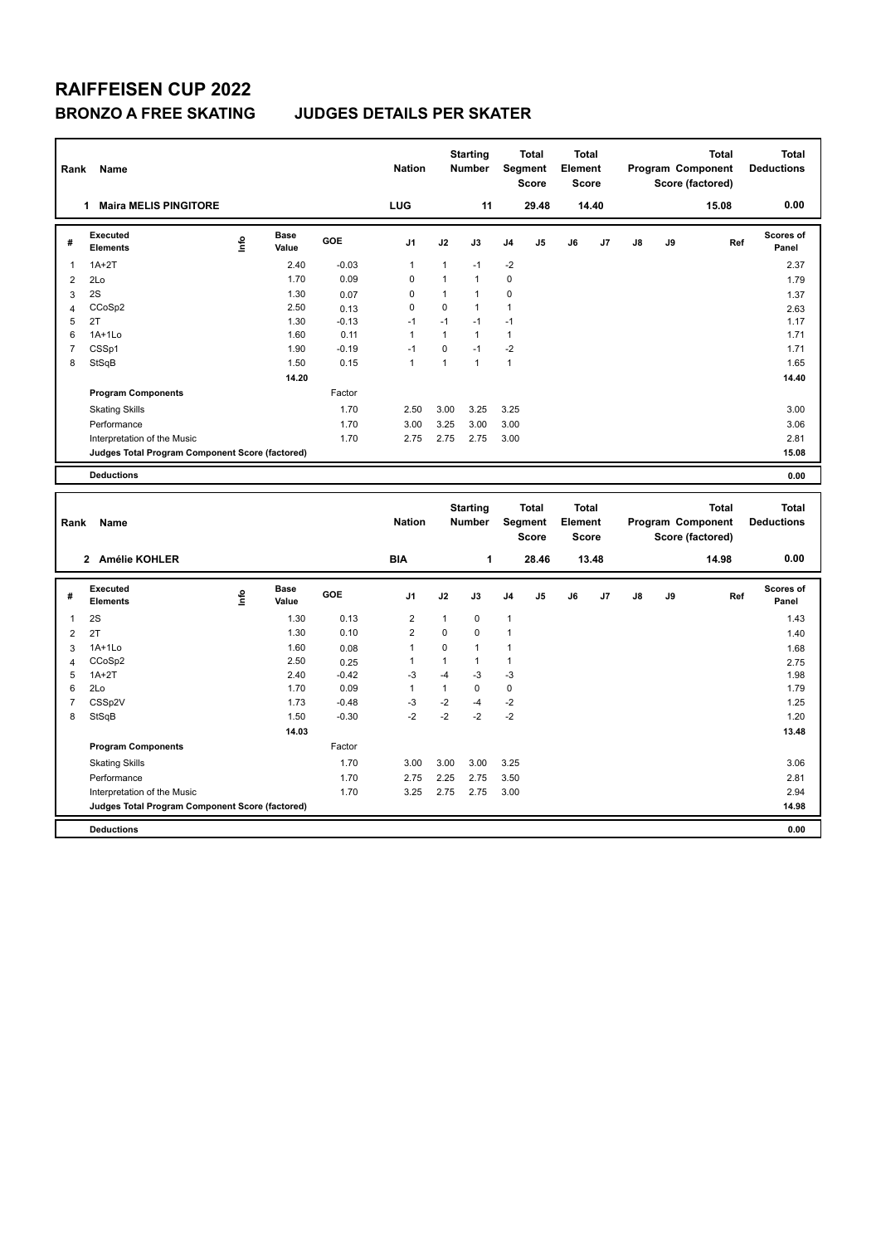| Rank                | Name                                            |      |                      |                 | <b>Nation</b>                |                   | <b>Starting</b><br>Number    |                   | <b>Total</b><br>Segment<br><b>Score</b> | <b>Total</b><br>Element<br><b>Score</b> |       |    |    | <b>Total</b><br>Program Component<br>Score (factored) | <b>Total</b><br><b>Deductions</b> |
|---------------------|-------------------------------------------------|------|----------------------|-----------------|------------------------------|-------------------|------------------------------|-------------------|-----------------------------------------|-----------------------------------------|-------|----|----|-------------------------------------------------------|-----------------------------------|
|                     | <b>Maira MELIS PINGITORE</b><br>$\mathbf 1$     |      |                      |                 | LUG                          |                   | 11                           |                   | 29.48                                   |                                         | 14.40 |    |    | 15.08                                                 | 0.00                              |
| #                   | <b>Executed</b><br><b>Elements</b>              | ۴٥   | <b>Base</b><br>Value | GOE             | J1                           | J2                | J3                           | J4                | J5                                      | J6                                      | J7    | J8 | J9 | Ref                                                   | Scores of<br>Panel                |
| 1                   | $1A+2T$                                         |      | 2.40                 | $-0.03$         | $\mathbf{1}$                 | $\mathbf{1}$      | $-1$                         | $-2$              |                                         |                                         |       |    |    |                                                       | 2.37                              |
| $\overline{2}$      | 2Lo                                             |      | 1.70                 | 0.09            | 0                            | $\mathbf{1}$      | $\mathbf{1}$                 | $\mathbf 0$       |                                         |                                         |       |    |    |                                                       | 1.79                              |
| 3                   | 2S                                              |      | 1.30                 | 0.07            | 0                            | $\mathbf{1}$      | $\mathbf{1}$                 | 0                 |                                         |                                         |       |    |    |                                                       | 1.37                              |
| $\overline{4}$      | CCoSp2                                          |      | 2.50                 | 0.13            | 0                            | 0                 | $\mathbf{1}$                 | $\mathbf{1}$      |                                         |                                         |       |    |    |                                                       | 2.63                              |
| 5                   | 2T                                              |      | 1.30                 | $-0.13$         | $-1$                         | $-1$              | $-1$                         | $-1$              |                                         |                                         |       |    |    |                                                       | 1.17                              |
| 6                   | $1A+1L0$                                        |      | 1.60                 | 0.11            | 1                            | $\mathbf{1}$      | $\mathbf{1}$                 | $\mathbf{1}$      |                                         |                                         |       |    |    |                                                       | 1.71                              |
| $\overline{7}$      | CSSp1                                           |      | 1.90                 | $-0.19$         | $-1$                         | 0                 | $-1$                         | $-2$              |                                         |                                         |       |    |    |                                                       | 1.71                              |
| 8                   | StSqB                                           |      | 1.50                 | 0.15            | $\mathbf{1}$                 | $\mathbf{1}$      | $\mathbf{1}$                 | $\mathbf{1}$      |                                         |                                         |       |    |    |                                                       | 1.65                              |
|                     |                                                 |      | 14.20                |                 |                              |                   |                              |                   |                                         |                                         |       |    |    |                                                       | 14.40                             |
|                     | <b>Program Components</b>                       |      |                      | Factor          |                              |                   |                              |                   |                                         |                                         |       |    |    |                                                       |                                   |
|                     | <b>Skating Skills</b>                           |      |                      | 1.70            | 2.50                         | 3.00              | 3.25                         | 3.25              |                                         |                                         |       |    |    |                                                       | 3.00                              |
|                     | Performance                                     |      |                      | 1.70            | 3.00                         | 3.25              | 3.00                         | 3.00              |                                         |                                         |       |    |    |                                                       | 3.06                              |
|                     | Interpretation of the Music                     |      |                      | 1.70            | 2.75                         | 2.75              | 2.75                         | 3.00              |                                         |                                         |       |    |    |                                                       | 2.81                              |
|                     | Judges Total Program Component Score (factored) |      |                      |                 |                              |                   |                              |                   |                                         |                                         |       |    |    |                                                       | 15.08                             |
|                     | <b>Deductions</b>                               |      |                      |                 |                              |                   |                              |                   |                                         |                                         |       |    |    |                                                       | 0.00                              |
|                     |                                                 |      |                      |                 |                              |                   |                              |                   |                                         |                                         |       |    |    |                                                       |                                   |
| Rank                | Name                                            |      |                      |                 | <b>Nation</b>                |                   | <b>Starting</b><br>Number    |                   | Total<br>Segment<br><b>Score</b>        | <b>Total</b><br>Element<br><b>Score</b> |       |    |    | <b>Total</b><br>Program Component<br>Score (factored) | <b>Total</b><br><b>Deductions</b> |
|                     | 2 Amélie KOHLER                                 |      |                      |                 | <b>BIA</b>                   |                   | 1                            |                   | 28.46                                   |                                         | 13.48 |    |    | 14.98                                                 | 0.00                              |
| #                   | <b>Executed</b><br><b>Elements</b>              | ١rfo | Base<br>Value        | GOE             | J1                           | J2                | J3                           | J4                | J5                                      | J6                                      | J7    | J8 | J9 | Ref                                                   | <b>Scores of</b><br>Panel         |
| 1                   | 2S                                              |      | 1.30                 | 0.13            | $\overline{2}$               | $\mathbf{1}$      | $\mathbf 0$                  | $\mathbf{1}$      |                                         |                                         |       |    |    |                                                       | 1.43                              |
|                     |                                                 |      | 1.30                 | 0.10            | $\overline{2}$               | $\mathbf 0$       | $\mathbf 0$                  | $\mathbf{1}$      |                                         |                                         |       |    |    |                                                       |                                   |
| $\overline{2}$      | 2T                                              |      |                      |                 |                              |                   |                              |                   |                                         |                                         |       |    |    |                                                       | 1.40                              |
| 3                   | $1A+1Lo$                                        |      | 1.60<br>2.50         | 0.08            | $\mathbf{1}$<br>$\mathbf{1}$ | 0<br>$\mathbf{1}$ | $\mathbf{1}$<br>$\mathbf{1}$ | 1<br>$\mathbf{1}$ |                                         |                                         |       |    |    |                                                       | 1.68                              |
| $\overline{4}$<br>5 | CCoSp2<br>$1A+2T$                               |      | 2.40                 | 0.25<br>$-0.42$ | $-3$                         | $-4$              | -3                           | $-3$              |                                         |                                         |       |    |    |                                                       | 2.75<br>1.98                      |
| 6                   | 2Lo                                             |      | 1.70                 | 0.09            | $\mathbf{1}$                 | $\mathbf{1}$      | $\mathbf 0$                  | $\mathbf 0$       |                                         |                                         |       |    |    |                                                       | 1.79                              |
| $\overline{7}$      | CSSp2V                                          |      | 1.73                 | $-0.48$         | $-3$                         | $-2$              | $-4$                         | $-2$              |                                         |                                         |       |    |    |                                                       | 1.25                              |
| 8                   | StSqB                                           |      | 1.50                 | $-0.30$         | $-2$                         | $-2$              | $-2$                         | $-2$              |                                         |                                         |       |    |    |                                                       | 1.20                              |
|                     |                                                 |      | 14.03                |                 |                              |                   |                              |                   |                                         |                                         |       |    |    |                                                       | 13.48                             |
|                     | <b>Program Components</b>                       |      |                      | Factor          |                              |                   |                              |                   |                                         |                                         |       |    |    |                                                       |                                   |
|                     | <b>Skating Skills</b>                           |      |                      | 1.70            | 3.00                         | 3.00              | 3.00                         | 3.25              |                                         |                                         |       |    |    |                                                       | 3.06                              |
|                     | Performance                                     |      |                      | 1.70            | 2.75                         | 2.25              | 2.75                         | 3.50              |                                         |                                         |       |    |    |                                                       | 2.81                              |
|                     | Interpretation of the Music                     |      |                      | 1.70            | 3.25                         | 2.75              | 2.75                         | 3.00              |                                         |                                         |       |    |    |                                                       | 2.94                              |
|                     | Judges Total Program Component Score (factored) |      |                      |                 |                              |                   |                              |                   |                                         |                                         |       |    |    |                                                       | 14.98                             |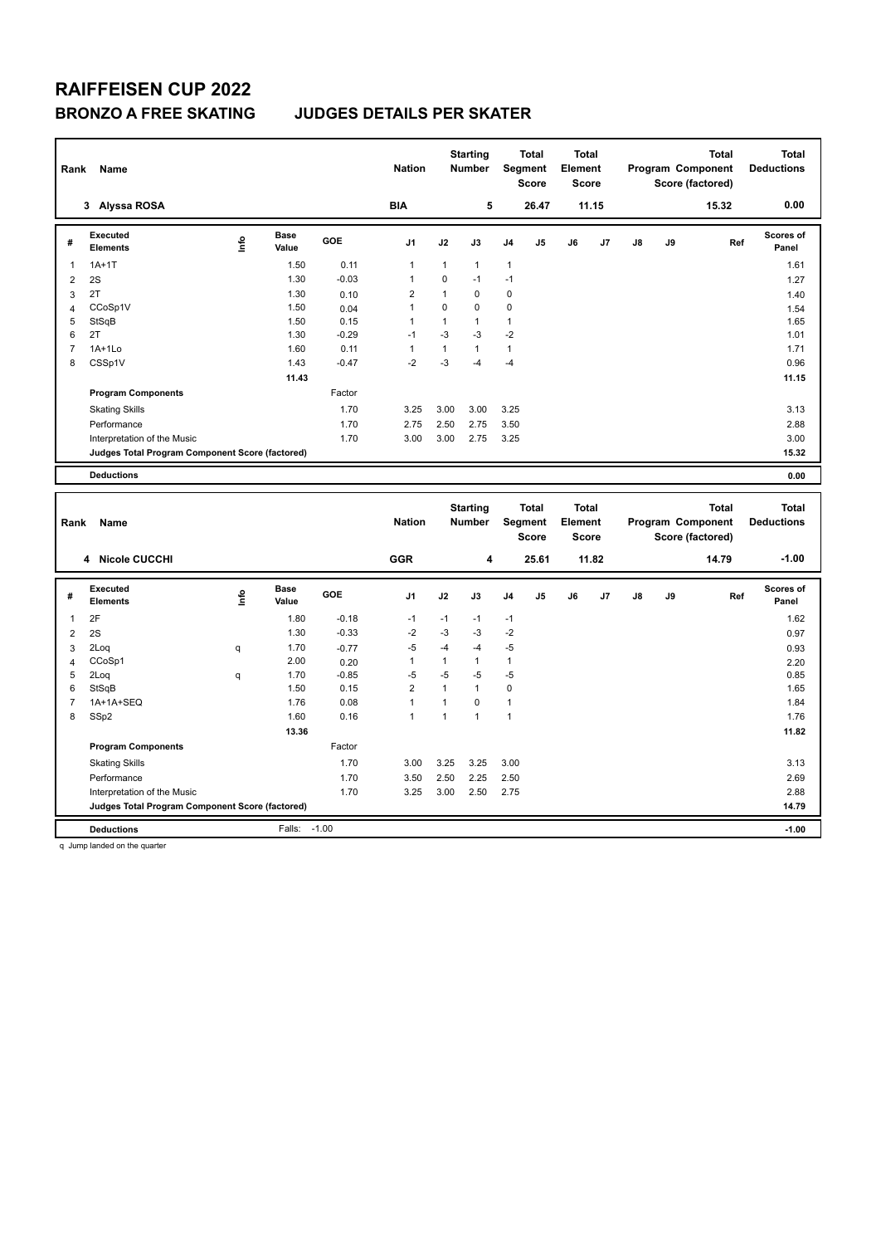| Rank                | Name                                                                           |      |                      |              | <b>Nation</b>                  |                      | <b>Starting</b><br><b>Number</b> |                   | Total<br>Segment<br><b>Score</b>        | <b>Total</b><br>Element<br><b>Score</b> |       |               |    | <b>Total</b><br>Program Component<br>Score (factored) |     | <b>Total</b><br><b>Deductions</b> |
|---------------------|--------------------------------------------------------------------------------|------|----------------------|--------------|--------------------------------|----------------------|----------------------------------|-------------------|-----------------------------------------|-----------------------------------------|-------|---------------|----|-------------------------------------------------------|-----|-----------------------------------|
|                     | 3 Alyssa ROSA                                                                  |      |                      |              | <b>BIA</b>                     |                      | 5                                |                   | 26.47                                   |                                         | 11.15 |               |    | 15.32                                                 |     | 0.00                              |
| #                   | <b>Executed</b><br><b>Elements</b>                                             | lnfo | <b>Base</b><br>Value | GOE          | J <sub>1</sub>                 | J2                   | J3                               | J4                | J5                                      | J6                                      | J7    | J8            | J9 |                                                       | Ref | <b>Scores of</b><br>Panel         |
| $\mathbf{1}$        | $1A+1T$                                                                        |      | 1.50                 | 0.11         | $\mathbf{1}$                   | $\mathbf{1}$         | $\mathbf{1}$                     | $\mathbf{1}$      |                                         |                                         |       |               |    |                                                       |     | 1.61                              |
| $\overline{2}$      | 2S                                                                             |      | 1.30                 | $-0.03$      | $\mathbf{1}$                   | 0                    | $-1$                             | $-1$              |                                         |                                         |       |               |    |                                                       |     | 1.27                              |
| 3                   | 2T                                                                             |      | 1.30                 | 0.10         | $\overline{2}$                 | $\mathbf{1}$         | $\mathbf 0$                      | 0                 |                                         |                                         |       |               |    |                                                       |     | 1.40                              |
| $\overline{4}$      | CCoSp1V                                                                        |      | 1.50                 | 0.04         | $\mathbf{1}$                   | $\mathbf 0$          | $\mathbf 0$                      | $\mathbf 0$       |                                         |                                         |       |               |    |                                                       |     | 1.54                              |
| 5                   | StSqB                                                                          |      | 1.50                 | 0.15         | $\mathbf{1}$                   | $\mathbf{1}$         | $\mathbf{1}$                     | $\mathbf{1}$      |                                         |                                         |       |               |    |                                                       |     | 1.65                              |
| 6                   | 2T                                                                             |      | 1.30                 | $-0.29$      | $-1$                           | $-3$                 | -3                               | $-2$              |                                         |                                         |       |               |    |                                                       |     | 1.01                              |
| $\overline{7}$      | $1A+1Lo$                                                                       |      | 1.60                 | 0.11         | $\mathbf{1}$                   | $\mathbf{1}$         | $\mathbf{1}$                     | $\mathbf{1}$      |                                         |                                         |       |               |    |                                                       |     | 1.71                              |
| 8                   | CSSp1V                                                                         |      | 1.43                 | $-0.47$      | $-2$                           | $-3$                 | -4                               | $-4$              |                                         |                                         |       |               |    |                                                       |     | 0.96                              |
|                     |                                                                                |      | 11.43                |              |                                |                      |                                  |                   |                                         |                                         |       |               |    |                                                       |     | 11.15                             |
|                     | <b>Program Components</b>                                                      |      |                      | Factor       |                                |                      |                                  |                   |                                         |                                         |       |               |    |                                                       |     |                                   |
|                     | <b>Skating Skills</b>                                                          |      |                      | 1.70         | 3.25                           | 3.00                 | 3.00                             | 3.25              |                                         |                                         |       |               |    |                                                       |     | 3.13                              |
|                     | Performance                                                                    |      |                      | 1.70         | 2.75                           | 2.50                 | 2.75                             | 3.50              |                                         |                                         |       |               |    |                                                       |     | 2.88                              |
|                     | Interpretation of the Music                                                    |      |                      | 1.70         | 3.00                           | 3.00                 | 2.75                             | 3.25              |                                         |                                         |       |               |    |                                                       |     | 3.00                              |
|                     | Judges Total Program Component Score (factored)                                |      |                      |              |                                |                      |                                  |                   |                                         |                                         |       |               |    |                                                       |     | 15.32                             |
|                     | <b>Deductions</b>                                                              |      |                      |              |                                |                      |                                  |                   |                                         |                                         |       |               |    |                                                       |     | 0.00                              |
|                     |                                                                                |      |                      |              |                                |                      |                                  |                   |                                         |                                         |       |               |    |                                                       |     |                                   |
| Rank                | Name                                                                           |      |                      |              | <b>Nation</b>                  |                      | <b>Starting</b><br>Number        |                   | <b>Total</b><br>Segment<br><b>Score</b> | <b>Total</b><br>Element<br><b>Score</b> |       |               |    | <b>Total</b><br>Program Component<br>Score (factored) |     | <b>Total</b><br><b>Deductions</b> |
|                     | 4 Nicole CUCCHI                                                                |      |                      |              | <b>GGR</b>                     |                      | 4                                |                   | 25.61                                   |                                         | 11.82 |               |    | 14.79                                                 |     | $-1.00$                           |
| #                   | <b>Executed</b>                                                                |      | <b>Base</b>          | GOE          | J1                             | J2                   | J3                               | J <sub>4</sub>    | J5                                      | J6                                      | J7    | $\mathsf{J}8$ | J9 |                                                       | Ref | Scores of                         |
|                     | <b>Elements</b>                                                                | info | Value                |              |                                |                      |                                  |                   |                                         |                                         |       |               |    |                                                       |     | Panel                             |
| $\mathbf{1}$        | 2F                                                                             |      | 1.80                 | $-0.18$      | $-1$                           | $-1$                 | $-1$                             | $-1$              |                                         |                                         |       |               |    |                                                       |     | 1.62                              |
| $\overline{2}$      | 2S                                                                             |      | 1.30                 | $-0.33$      | $-2$                           | $-3$                 | -3                               | $-2$              |                                         |                                         |       |               |    |                                                       |     | 0.97                              |
| 3                   | 2Loq                                                                           | q    | 1.70                 | $-0.77$      | $-5$                           | $-4$                 | $-4$                             | $-5$              |                                         |                                         |       |               |    |                                                       |     | 0.93                              |
| $\overline{4}$      | CCoSp1                                                                         |      | 2.00                 | 0.20         | $\mathbf{1}$                   | $\mathbf{1}$         | $\mathbf{1}$                     | $\mathbf{1}$      |                                         |                                         |       |               |    |                                                       |     | 2.20                              |
| 5                   | 2Loq                                                                           | q    | 1.70                 | $-0.85$      | $-5$                           | $-5$<br>$\mathbf{1}$ | $-5$<br>$\overline{1}$           | $-5$              |                                         |                                         |       |               |    |                                                       |     | 0.85                              |
| 6<br>$\overline{7}$ | StSqB<br>1A+1A+SEQ                                                             |      | 1.50<br>1.76         | 0.15<br>0.08 | $\overline{2}$<br>$\mathbf{1}$ | $\mathbf{1}$         | $\mathbf 0$                      | 0<br>$\mathbf{1}$ |                                         |                                         |       |               |    |                                                       |     | 1.65<br>1.84                      |
| 8                   | SSp2                                                                           |      | 1.60                 | 0.16         | $\mathbf{1}$                   | $\mathbf{1}$         | $\mathbf{1}$                     | $\mathbf{1}$      |                                         |                                         |       |               |    |                                                       |     | 1.76                              |
|                     |                                                                                |      | 13.36                |              |                                |                      |                                  |                   |                                         |                                         |       |               |    |                                                       |     | 11.82                             |
|                     | <b>Program Components</b>                                                      |      |                      | Factor       |                                |                      |                                  |                   |                                         |                                         |       |               |    |                                                       |     |                                   |
|                     |                                                                                |      |                      |              |                                |                      |                                  |                   |                                         |                                         |       |               |    |                                                       |     |                                   |
|                     | <b>Skating Skills</b>                                                          |      |                      | 1.70         | 3.00                           | 3.25                 | 3.25                             | 3.00              |                                         |                                         |       |               |    |                                                       |     | 3.13                              |
|                     | Performance                                                                    |      |                      | 1.70         | 3.50                           | 2.50                 | 2.25                             | 2.50              |                                         |                                         |       |               |    |                                                       |     | 2.69                              |
|                     | Interpretation of the Music<br>Judges Total Program Component Score (factored) |      |                      | 1.70         | 3.25                           | 3.00                 | 2.50                             | 2.75              |                                         |                                         |       |               |    |                                                       |     | 2.88<br>14.79                     |

q Jump landed on the quarter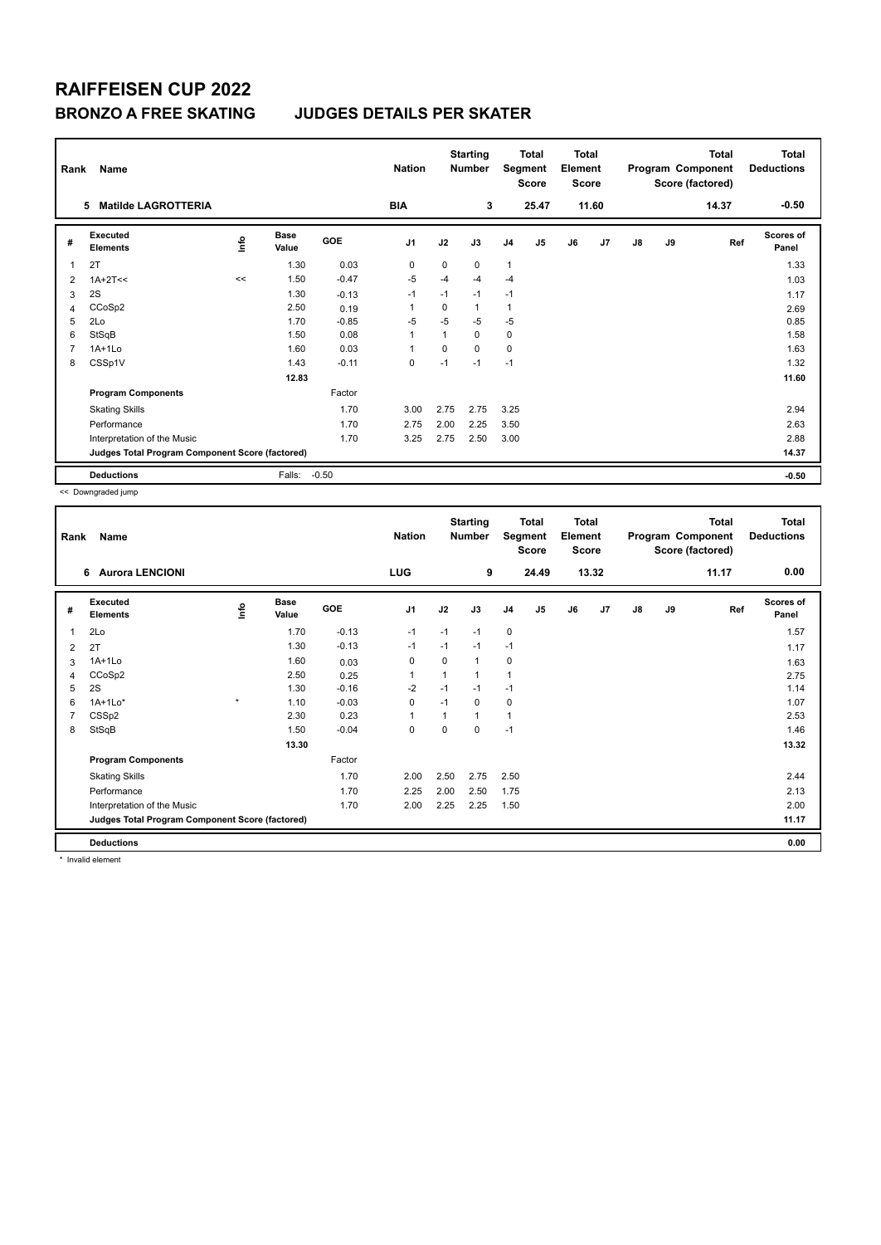# **RAIFFEISEN CUP 2022**

### **BRONZO A FREE SKATING JUDGES DETAILS PER SKATER**

| Rank | Name                                            |      |                      |         | <b>Nation</b>  |          | <b>Starting</b><br><b>Number</b> | Segment        | <b>Total</b><br><b>Score</b> | <b>Total</b><br>Element<br><b>Score</b> |       |               |    | <b>Total</b><br>Program Component<br>Score (factored) | <b>Total</b><br><b>Deductions</b> |
|------|-------------------------------------------------|------|----------------------|---------|----------------|----------|----------------------------------|----------------|------------------------------|-----------------------------------------|-------|---------------|----|-------------------------------------------------------|-----------------------------------|
|      | <b>Matilde LAGROTTERIA</b><br>5                 |      |                      |         | <b>BIA</b>     |          | 3                                |                | 25.47                        |                                         | 11.60 |               |    | 14.37                                                 | $-0.50$                           |
| #    | Executed<br><b>Elements</b>                     | Info | <b>Base</b><br>Value | GOE     | J <sub>1</sub> | J2       | J3                               | J <sub>4</sub> | J5                           | J6                                      | J7    | $\mathsf{J}8$ | J9 | Ref                                                   | <b>Scores of</b><br>Panel         |
|      | 2T                                              |      | 1.30                 | 0.03    | 0              | $\Omega$ | $\Omega$                         | $\overline{1}$ |                              |                                         |       |               |    |                                                       | 1.33                              |
| 2    | $1A+2T<<$                                       | <<   | 1.50                 | $-0.47$ | $-5$           | $-4$     | $-4$                             | $-4$           |                              |                                         |       |               |    |                                                       | 1.03                              |
| 3    | 2S                                              |      | 1.30                 | $-0.13$ | $-1$           | $-1$     | $-1$                             | $-1$           |                              |                                         |       |               |    |                                                       | 1.17                              |
| 4    | CCoSp2                                          |      | 2.50                 | 0.19    |                | $\Omega$ | 1                                | 1              |                              |                                         |       |               |    |                                                       | 2.69                              |
| 5    | 2Lo                                             |      | 1.70                 | $-0.85$ | $-5$           | $-5$     | $-5$                             | $-5$           |                              |                                         |       |               |    |                                                       | 0.85                              |
| 6    | StSqB                                           |      | 1.50                 | 0.08    | 1              |          | 0                                | $\mathbf 0$    |                              |                                         |       |               |    |                                                       | 1.58                              |
|      | $1A+1Lo$                                        |      | 1.60                 | 0.03    | $\overline{1}$ | $\Omega$ | $\Omega$                         | $\mathbf 0$    |                              |                                         |       |               |    |                                                       | 1.63                              |
| 8    | CSSp1V                                          |      | 1.43                 | $-0.11$ | $\mathbf 0$    | $-1$     | $-1$                             | $-1$           |                              |                                         |       |               |    |                                                       | 1.32                              |
|      |                                                 |      | 12.83                |         |                |          |                                  |                |                              |                                         |       |               |    |                                                       | 11.60                             |
|      | <b>Program Components</b>                       |      |                      | Factor  |                |          |                                  |                |                              |                                         |       |               |    |                                                       |                                   |
|      | <b>Skating Skills</b>                           |      |                      | 1.70    | 3.00           | 2.75     | 2.75                             | 3.25           |                              |                                         |       |               |    |                                                       | 2.94                              |
|      | Performance                                     |      |                      | 1.70    | 2.75           | 2.00     | 2.25                             | 3.50           |                              |                                         |       |               |    |                                                       | 2.63                              |
|      | Interpretation of the Music                     |      |                      | 1.70    | 3.25           | 2.75     | 2.50                             | 3.00           |                              |                                         |       |               |    |                                                       | 2.88                              |
|      | Judges Total Program Component Score (factored) |      |                      |         |                |          |                                  |                |                              |                                         |       |               |    |                                                       | 14.37                             |
|      | <b>Deductions</b>                               |      | Falls:               | $-0.50$ |                |          |                                  |                |                              |                                         |       |               |    |                                                       | $-0.50$                           |

<< Downgraded jump

| Rank | Name                                            |         |                      |         | <b>Nation</b>  |          | <b>Starting</b><br><b>Number</b> |                | <b>Total</b><br>Segment<br><b>Score</b> | <b>Total</b><br>Element<br><b>Score</b> |       |               |    | <b>Total</b><br>Program Component<br>Score (factored) | <b>Total</b><br><b>Deductions</b> |
|------|-------------------------------------------------|---------|----------------------|---------|----------------|----------|----------------------------------|----------------|-----------------------------------------|-----------------------------------------|-------|---------------|----|-------------------------------------------------------|-----------------------------------|
|      | 6 Aurora LENCIONI                               |         |                      |         | LUG            |          | 9                                |                | 24.49                                   |                                         | 13.32 |               |    | 11.17                                                 | 0.00                              |
| #    | Executed<br><b>Elements</b>                     | ۴       | <b>Base</b><br>Value | GOE     | J <sub>1</sub> | J2       | J3                               | J <sub>4</sub> | J <sub>5</sub>                          | J6                                      | J7    | $\mathsf{J}8$ | J9 | Ref                                                   | <b>Scores of</b><br>Panel         |
| 1    | 2Lo                                             |         | 1.70                 | $-0.13$ | $-1$           | $-1$     | $-1$                             | 0              |                                         |                                         |       |               |    |                                                       | 1.57                              |
| 2    | 2T                                              |         | 1.30                 | $-0.13$ | $-1$           | $-1$     | $-1$                             | $-1$           |                                         |                                         |       |               |    |                                                       | 1.17                              |
| 3    | $1A+1Lo$                                        |         | 1.60                 | 0.03    | $\mathbf 0$    | $\Omega$ | $\mathbf{1}$                     | $\mathbf 0$    |                                         |                                         |       |               |    |                                                       | 1.63                              |
| 4    | CCoSp2                                          |         | 2.50                 | 0.25    | $\mathbf{1}$   | 1        | $\mathbf{1}$                     | $\overline{1}$ |                                         |                                         |       |               |    |                                                       | 2.75                              |
| 5    | 2S                                              |         | 1.30                 | $-0.16$ | $-2$           | $-1$     | $-1$                             | $-1$           |                                         |                                         |       |               |    |                                                       | 1.14                              |
| 6    | $1A+1Lo*$                                       | $\star$ | 1.10                 | $-0.03$ | $\mathbf 0$    | $-1$     | 0                                | 0              |                                         |                                         |       |               |    |                                                       | 1.07                              |
|      | CSS <sub>p2</sub>                               |         | 2.30                 | 0.23    | $\mathbf{1}$   | 1        | $\mathbf{1}$                     | $\overline{1}$ |                                         |                                         |       |               |    |                                                       | 2.53                              |
| 8    | StSqB                                           |         | 1.50                 | $-0.04$ | 0              | 0        | 0                                | $-1$           |                                         |                                         |       |               |    |                                                       | 1.46                              |
|      |                                                 |         | 13.30                |         |                |          |                                  |                |                                         |                                         |       |               |    |                                                       | 13.32                             |
|      | <b>Program Components</b>                       |         |                      | Factor  |                |          |                                  |                |                                         |                                         |       |               |    |                                                       |                                   |
|      | <b>Skating Skills</b>                           |         |                      | 1.70    | 2.00           | 2.50     | 2.75                             | 2.50           |                                         |                                         |       |               |    |                                                       | 2.44                              |
|      | Performance                                     |         |                      | 1.70    | 2.25           | 2.00     | 2.50                             | 1.75           |                                         |                                         |       |               |    |                                                       | 2.13                              |
|      | Interpretation of the Music                     |         |                      | 1.70    | 2.00           | 2.25     | 2.25                             | 1.50           |                                         |                                         |       |               |    |                                                       | 2.00                              |
|      | Judges Total Program Component Score (factored) |         |                      |         |                |          |                                  |                |                                         |                                         |       |               |    |                                                       | 11.17                             |
|      | <b>Deductions</b>                               |         |                      |         |                |          |                                  |                |                                         |                                         |       |               |    |                                                       | 0.00                              |

\* Invalid element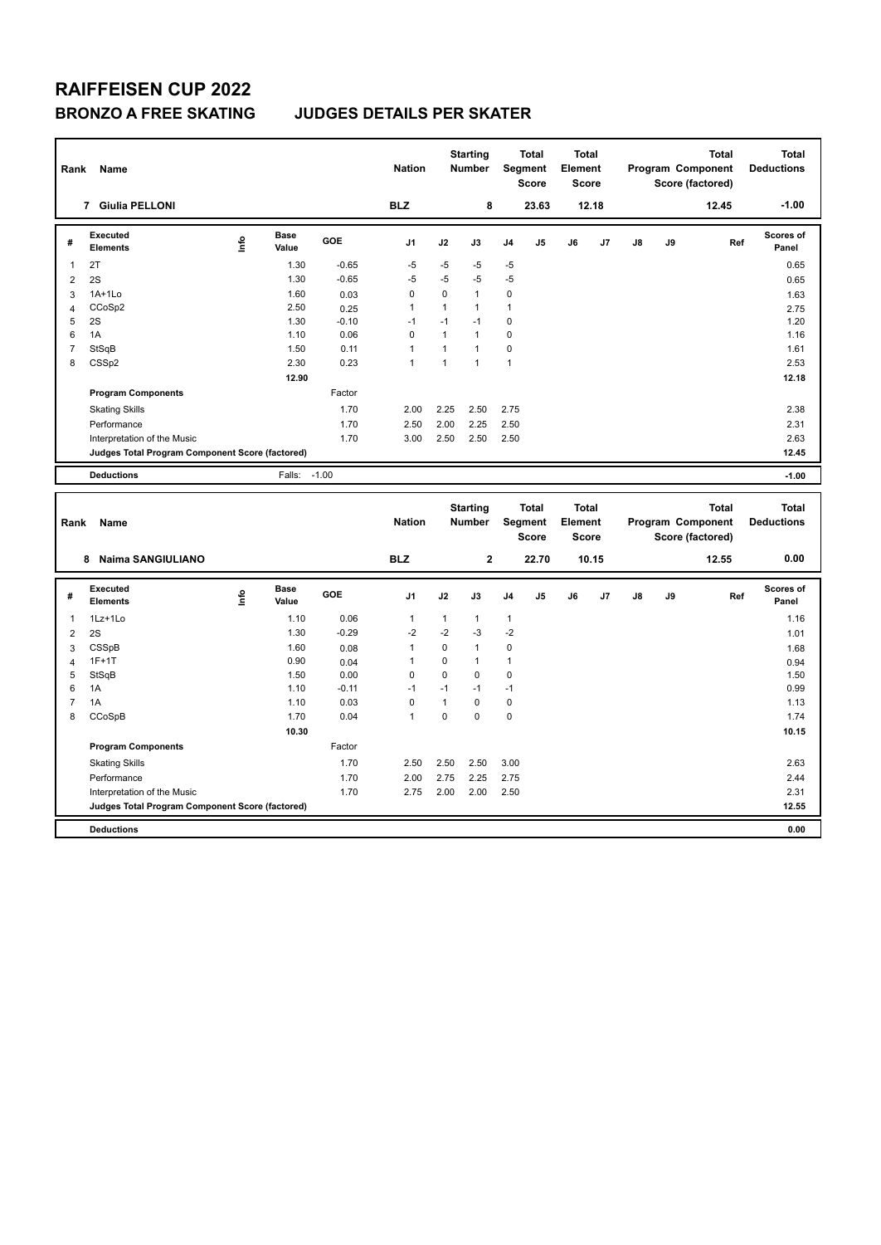| Rank           | Name                                            |             |               |         | <b>Nation</b>  |              | <b>Starting</b><br>Number        |              | <b>Total</b><br>Segment<br><b>Score</b> | <b>Total</b><br>Element<br><b>Score</b> |       |               |    | <b>Total</b><br>Program Component<br>Score (factored) | <b>Total</b><br><b>Deductions</b> |
|----------------|-------------------------------------------------|-------------|---------------|---------|----------------|--------------|----------------------------------|--------------|-----------------------------------------|-----------------------------------------|-------|---------------|----|-------------------------------------------------------|-----------------------------------|
|                | 7 Giulia PELLONI                                |             |               |         | <b>BLZ</b>     |              | 8                                |              | 23.63                                   |                                         | 12.18 |               |    | 12.45                                                 | $-1.00$                           |
| #              | <b>Executed</b><br><b>Elements</b>              | <u>info</u> | Base<br>Value | GOE     | J <sub>1</sub> | J2           | J3                               | J4           | J5                                      | J6                                      | J7    | $\mathsf{J}8$ | J9 | Ref                                                   | Scores of<br>Panel                |
| $\mathbf{1}$   | 2T                                              |             | 1.30          | $-0.65$ | $-5$           | $-5$         | $-5$                             | $-5$         |                                         |                                         |       |               |    |                                                       | 0.65                              |
| $\overline{2}$ | 2S                                              |             | 1.30          | $-0.65$ | $-5$           | $-5$         | $-5$                             | $-5$         |                                         |                                         |       |               |    |                                                       | 0.65                              |
| 3              | $1A+1Lo$                                        |             | 1.60          | 0.03    | $\mathbf 0$    | $\pmb{0}$    | $\mathbf{1}$                     | 0            |                                         |                                         |       |               |    |                                                       | 1.63                              |
| $\overline{4}$ | CCoSp2                                          |             | 2.50          | 0.25    | 1              | $\mathbf{1}$ | $\mathbf{1}$                     | 1            |                                         |                                         |       |               |    |                                                       | 2.75                              |
| 5              | 2S                                              |             | 1.30          | $-0.10$ | $-1$           | $-1$         | $-1$                             | 0            |                                         |                                         |       |               |    |                                                       | 1.20                              |
| 6              | 1A                                              |             | 1.10          | 0.06    | $\mathbf 0$    | $\mathbf{1}$ | $\mathbf{1}$                     | $\mathbf 0$  |                                         |                                         |       |               |    |                                                       | 1.16                              |
| $\overline{7}$ | StSqB                                           |             | 1.50          | 0.11    | $\mathbf{1}$   | $\mathbf{1}$ | $\mathbf{1}$                     | $\mathbf 0$  |                                         |                                         |       |               |    |                                                       | 1.61                              |
| 8              | CSSp2                                           |             | 2.30          | 0.23    | $\mathbf{1}$   | $\mathbf{1}$ | $\mathbf{1}$                     | $\mathbf{1}$ |                                         |                                         |       |               |    |                                                       | 2.53                              |
|                |                                                 |             | 12.90         |         |                |              |                                  |              |                                         |                                         |       |               |    |                                                       | 12.18                             |
|                | <b>Program Components</b>                       |             |               | Factor  |                |              |                                  |              |                                         |                                         |       |               |    |                                                       |                                   |
|                | <b>Skating Skills</b>                           |             |               | 1.70    | 2.00           | 2.25         | 2.50                             | 2.75         |                                         |                                         |       |               |    |                                                       | 2.38                              |
|                | Performance                                     |             |               | 1.70    | 2.50           | 2.00         | 2.25                             | 2.50         |                                         |                                         |       |               |    |                                                       | 2.31                              |
|                | Interpretation of the Music                     |             |               | 1.70    | 3.00           | 2.50         | 2.50                             | 2.50         |                                         |                                         |       |               |    |                                                       | 2.63                              |
|                | Judges Total Program Component Score (factored) |             |               |         |                |              |                                  |              |                                         |                                         |       |               |    |                                                       | 12.45                             |
|                | <b>Deductions</b>                               |             | Falls:        | $-1.00$ |                |              |                                  |              |                                         |                                         |       |               |    |                                                       | $-1.00$                           |
| Rank           | Name                                            |             |               |         | <b>Nation</b>  |              | <b>Starting</b><br><b>Number</b> |              | <b>Total</b><br>Segment<br><b>Score</b> | <b>Total</b><br>Element<br><b>Score</b> |       |               |    | <b>Total</b><br>Program Component<br>Score (factored) | <b>Total</b><br><b>Deductions</b> |
|                | 8 Naima SANGIULIANO                             |             |               |         | <b>BLZ</b>     |              | $\mathbf 2$                      |              | 22.70                                   |                                         | 10.15 |               |    | 12.55                                                 | 0.00                              |
| #              | <b>Executed</b><br><b>Elements</b>              | lnfo        | Base<br>Value | GOE     | J <sub>1</sub> | J2           | J3                               | J4           | J5                                      | J6                                      | J7    | J8            | J9 | Ref                                                   | <b>Scores of</b><br>Panel         |
| $\mathbf{1}$   | 1Lz+1Lo                                         |             | 1.10          | 0.06    | 1              | $\mathbf{1}$ | 1                                | 1            |                                         |                                         |       |               |    |                                                       | 1.16                              |
| $\overline{2}$ | 2S                                              |             | 1.30          | $-0.29$ | $-2$           | $-2$         | $-3$                             | $-2$         |                                         |                                         |       |               |    |                                                       | 1.01                              |
| 3              | CSSpB                                           |             | 1.60          | 0.08    | $\mathbf{1}$   | $\mathbf 0$  | $\mathbf{1}$                     | 0            |                                         |                                         |       |               |    |                                                       | 1.68                              |
| $\overline{4}$ | $1F+1T$                                         |             | 0.90          | 0.04    | $\mathbf{1}$   | $\mathbf 0$  | $\mathbf{1}$                     | $\mathbf{1}$ |                                         |                                         |       |               |    |                                                       | 0.94                              |
| 5              | StSqB                                           |             | 1.50          | 0.00    | 0              | 0            | $\mathbf 0$                      | 0            |                                         |                                         |       |               |    |                                                       | 1.50                              |
| 6              |                                                 |             | 1.10          | $-0.11$ | $-1$           | $-1$         | $-1$                             | $-1$         |                                         |                                         |       |               |    |                                                       | 0.99                              |
| $\overline{7}$ | 1A                                              |             |               |         |                |              |                                  |              |                                         |                                         |       |               |    |                                                       |                                   |
| 8              | 1A                                              |             | 1.10          | 0.03    | $\mathbf 0$    | $\mathbf{1}$ | $\mathbf 0$                      | 0            |                                         |                                         |       |               |    |                                                       | 1.13                              |
|                | CCoSpB                                          |             | 1.70          | 0.04    | $\mathbf{1}$   | $\pmb{0}$    | $\mathbf 0$                      | $\mathbf 0$  |                                         |                                         |       |               |    |                                                       | 1.74                              |
|                |                                                 |             | 10.30         |         |                |              |                                  |              |                                         |                                         |       |               |    |                                                       | 10.15                             |
|                | <b>Program Components</b>                       |             |               | Factor  |                |              |                                  |              |                                         |                                         |       |               |    |                                                       |                                   |
|                | <b>Skating Skills</b>                           |             |               | 1.70    | 2.50           | 2.50         | 2.50                             | 3.00         |                                         |                                         |       |               |    |                                                       | 2.63                              |
|                | Performance                                     |             |               | 1.70    | 2.00           | 2.75         | 2.25                             | 2.75         |                                         |                                         |       |               |    |                                                       | 2.44                              |
|                | Interpretation of the Music                     |             |               | 1.70    | 2.75           | 2.00         | 2.00                             | 2.50         |                                         |                                         |       |               |    |                                                       | 2.31                              |
|                | Judges Total Program Component Score (factored) |             |               |         |                |              |                                  |              |                                         |                                         |       |               |    |                                                       | 12.55                             |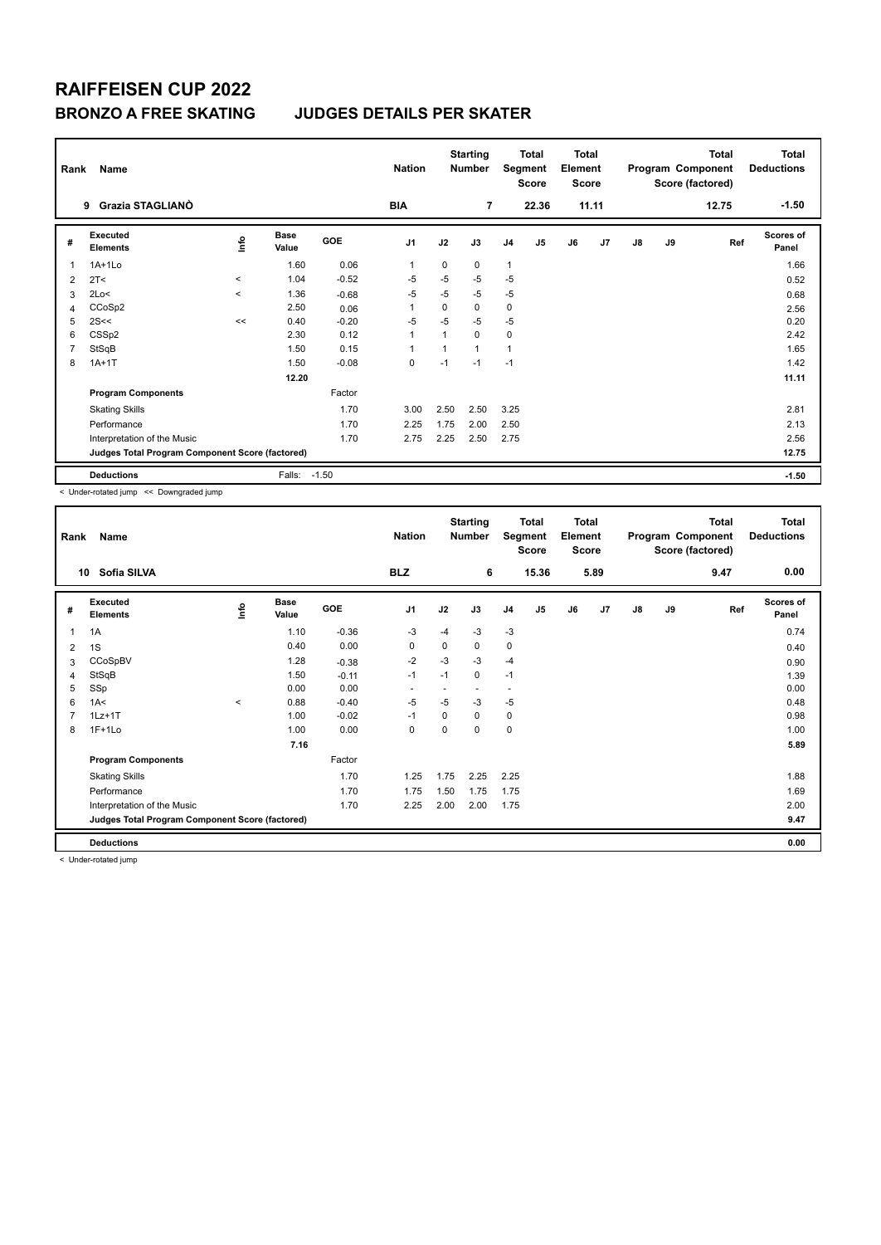# **RAIFFEISEN CUP 2022**

### **BRONZO A FREE SKATING JUDGES DETAILS PER SKATER**

| Rank           | Name<br>Grazia STAGLIANO                        |             |                      |            | <b>Nation</b><br><b>BIA</b> |          | <b>Starting</b><br><b>Number</b><br>$\overline{7}$ | Segment        | <b>Total</b><br><b>Score</b><br>22.36 | <b>Total</b><br>Element<br><b>Score</b> | 11.11 |               |    | Total<br>Program Component<br>Score (factored)<br>12.75 | <b>Total</b><br><b>Deductions</b><br>$-1.50$ |
|----------------|-------------------------------------------------|-------------|----------------------|------------|-----------------------------|----------|----------------------------------------------------|----------------|---------------------------------------|-----------------------------------------|-------|---------------|----|---------------------------------------------------------|----------------------------------------------|
|                | 9                                               |             |                      |            |                             |          |                                                    |                |                                       |                                         |       |               |    |                                                         |                                              |
| #              | <b>Executed</b><br><b>Elements</b>              | <u>info</u> | <b>Base</b><br>Value | <b>GOE</b> | J <sub>1</sub>              | J2       | J3                                                 | J <sub>4</sub> | J <sub>5</sub>                        | J6                                      | J7    | $\mathsf{J}8$ | J9 | Ref                                                     | <b>Scores of</b><br>Panel                    |
| 1              | $1A+1Lo$                                        |             | 1.60                 | 0.06       | $\mathbf{1}$                | $\Omega$ | $\Omega$                                           | $\mathbf{1}$   |                                       |                                         |       |               |    |                                                         | 1.66                                         |
| 2              | 2T <                                            | $\prec$     | 1.04                 | $-0.52$    | $-5$                        | $-5$     | $-5$                                               | $-5$           |                                       |                                         |       |               |    |                                                         | 0.52                                         |
| 3              | 2Lo<                                            | $\prec$     | 1.36                 | $-0.68$    | $-5$                        | $-5$     | $-5$                                               | $-5$           |                                       |                                         |       |               |    |                                                         | 0.68                                         |
| 4              | CCoSp2                                          |             | 2.50                 | 0.06       |                             | $\Omega$ | 0                                                  | $\mathbf 0$    |                                       |                                         |       |               |    |                                                         | 2.56                                         |
| 5              | 2S<<                                            | <<          | 0.40                 | $-0.20$    | $-5$                        | $-5$     | $-5$                                               | $-5$           |                                       |                                         |       |               |    |                                                         | 0.20                                         |
| 6              | CSS <sub>p2</sub>                               |             | 2.30                 | 0.12       | 1                           |          | $\Omega$                                           | 0              |                                       |                                         |       |               |    |                                                         | 2.42                                         |
| $\overline{7}$ | StSqB                                           |             | 1.50                 | 0.15       | 1                           |          | $\overline{1}$                                     | $\overline{1}$ |                                       |                                         |       |               |    |                                                         | 1.65                                         |
| 8              | $1A+1T$                                         |             | 1.50                 | $-0.08$    | $\mathbf 0$                 | $-1$     | $-1$                                               | $-1$           |                                       |                                         |       |               |    |                                                         | 1.42                                         |
|                |                                                 |             | 12.20                |            |                             |          |                                                    |                |                                       |                                         |       |               |    |                                                         | 11.11                                        |
|                | <b>Program Components</b>                       |             |                      | Factor     |                             |          |                                                    |                |                                       |                                         |       |               |    |                                                         |                                              |
|                | <b>Skating Skills</b>                           |             |                      | 1.70       | 3.00                        | 2.50     | 2.50                                               | 3.25           |                                       |                                         |       |               |    |                                                         | 2.81                                         |
|                | Performance                                     |             |                      | 1.70       | 2.25                        | 1.75     | 2.00                                               | 2.50           |                                       |                                         |       |               |    |                                                         | 2.13                                         |
|                | Interpretation of the Music                     |             |                      | 1.70       | 2.75                        | 2.25     | 2.50                                               | 2.75           |                                       |                                         |       |               |    |                                                         | 2.56                                         |
|                | Judges Total Program Component Score (factored) |             |                      |            |                             |          |                                                    |                |                                       |                                         |       |               |    |                                                         | 12.75                                        |
|                | <b>Deductions</b>                               |             | Falls:               | $-1.50$    |                             |          |                                                    |                |                                       |                                         |       |               |    |                                                         | $-1.50$                                      |

< Under-rotated jump << Downgraded jump

| Rank         | Name                                            |          |                      |         | <b>Nation</b>            |      | <b>Starting</b><br>Number |                          | <b>Total</b><br>Segment<br><b>Score</b> | <b>Total</b><br>Element<br><b>Score</b> |      |               |    | <b>Total</b><br>Program Component<br>Score (factored) | <b>Total</b><br><b>Deductions</b> |
|--------------|-------------------------------------------------|----------|----------------------|---------|--------------------------|------|---------------------------|--------------------------|-----------------------------------------|-----------------------------------------|------|---------------|----|-------------------------------------------------------|-----------------------------------|
|              | Sofia SILVA<br>10                               |          |                      |         | <b>BLZ</b>               |      | 6                         |                          | 15.36                                   |                                         | 5.89 |               |    | 9.47                                                  | 0.00                              |
| #            | Executed<br><b>Elements</b>                     | ۴        | <b>Base</b><br>Value | GOE     | J <sub>1</sub>           | J2   | J3                        | J <sub>4</sub>           | J5                                      | J6                                      | J7   | $\mathsf{J}8$ | J9 | Ref                                                   | <b>Scores of</b><br>Panel         |
| $\mathbf{1}$ | 1A                                              |          | 1.10                 | $-0.36$ | -3                       | $-4$ | $-3$                      | $-3$                     |                                         |                                         |      |               |    |                                                       | 0.74                              |
| 2            | 1S                                              |          | 0.40                 | 0.00    | 0                        | 0    | 0                         | 0                        |                                         |                                         |      |               |    |                                                       | 0.40                              |
| 3            | CCoSpBV                                         |          | 1.28                 | $-0.38$ | $-2$                     | $-3$ | $-3$                      | $-4$                     |                                         |                                         |      |               |    |                                                       | 0.90                              |
| 4            | StSqB                                           |          | 1.50                 | $-0.11$ | $-1$                     | $-1$ | 0                         | $-1$                     |                                         |                                         |      |               |    |                                                       | 1.39                              |
| 5            | SSp                                             |          | 0.00                 | 0.00    | $\overline{\phantom{a}}$ |      | $\overline{a}$            | $\overline{\phantom{a}}$ |                                         |                                         |      |               |    |                                                       | 0.00                              |
| 6            | 1A<                                             | $\hat{}$ | 0.88                 | $-0.40$ | $-5$                     | $-5$ | $-3$                      | $-5$                     |                                         |                                         |      |               |    |                                                       | 0.48                              |
| 7            | $1Lz+1T$                                        |          | 1.00                 | $-0.02$ | $-1$                     | 0    | 0                         | 0                        |                                         |                                         |      |               |    |                                                       | 0.98                              |
| 8            | $1F+1Lo$                                        |          | 1.00                 | 0.00    | 0                        | 0    | 0                         | $\mathbf 0$              |                                         |                                         |      |               |    |                                                       | 1.00                              |
|              |                                                 |          | 7.16                 |         |                          |      |                           |                          |                                         |                                         |      |               |    |                                                       | 5.89                              |
|              | <b>Program Components</b>                       |          |                      | Factor  |                          |      |                           |                          |                                         |                                         |      |               |    |                                                       |                                   |
|              | <b>Skating Skills</b>                           |          |                      | 1.70    | 1.25                     | 1.75 | 2.25                      | 2.25                     |                                         |                                         |      |               |    |                                                       | 1.88                              |
|              | Performance                                     |          |                      | 1.70    | 1.75                     | 1.50 | 1.75                      | 1.75                     |                                         |                                         |      |               |    |                                                       | 1.69                              |
|              | Interpretation of the Music                     |          |                      | 1.70    | 2.25                     | 2.00 | 2.00                      | 1.75                     |                                         |                                         |      |               |    |                                                       | 2.00                              |
|              | Judges Total Program Component Score (factored) |          |                      |         |                          |      |                           |                          |                                         |                                         |      |               |    |                                                       | 9.47                              |
|              | <b>Deductions</b>                               |          |                      |         |                          |      |                           |                          |                                         |                                         |      |               |    |                                                       | 0.00                              |

< Under-rotated jump